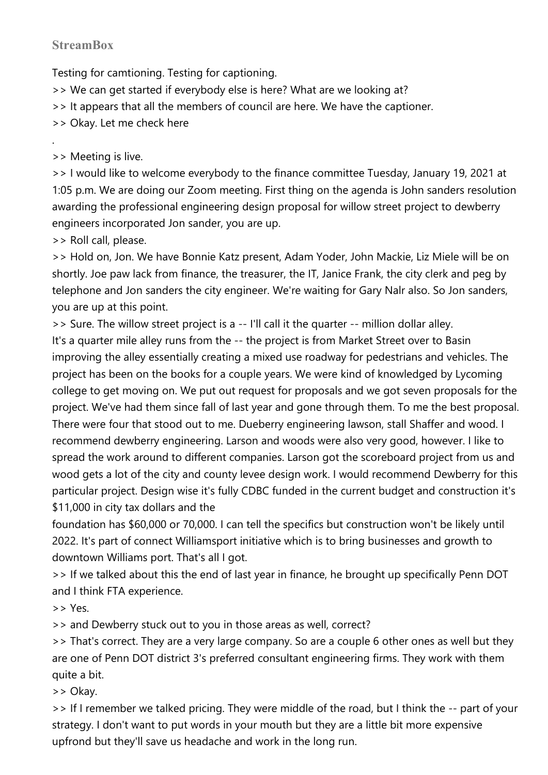## **StreamBox**

Testing for camtioning. Testing for captioning.

>> We can get started if everybody else is here? What are we looking at?

>> It appears that all the members of council are here. We have the captioner.

>> Okay. Let me check here

>> Meeting is live.

.

>> I would like to welcome everybody to the finance committee Tuesday, January 19, 2021 at 1:05 p.m. We are doing our Zoom meeting. First thing on the agenda is John sanders resolution awarding the professional engineering design proposal for willow street project to dewberry engineers incorporated Jon sander, you are up.

>> Roll call, please.

>> Hold on, Jon. We have Bonnie Katz present, Adam Yoder, John Mackie, Liz Miele will be on shortly. Joe paw lack from finance, the treasurer, the IT, Janice Frank, the city clerk and peg by telephone and Jon sanders the city engineer. We're waiting for Gary Nalr also. So Jon sanders, you are up at this point.

>> Sure. The willow street project is a -- I'll call it the quarter -- million dollar alley.

It's a quarter mile alley runs from the -- the project is from Market Street over to Basin improving the alley essentially creating a mixed use roadway for pedestrians and vehicles. The project has been on the books for a couple years. We were kind of knowledged by Lycoming college to get moving on. We put out request for proposals and we got seven proposals for the project. We've had them since fall of last year and gone through them. To me the best proposal. There were four that stood out to me. Dueberry engineering lawson, stall Shaffer and wood. I recommend dewberry engineering. Larson and woods were also very good, however. I like to spread the work around to different companies. Larson got the scoreboard project from us and wood gets a lot of the city and county levee design work. I would recommend Dewberry for this particular project. Design wise it's fully CDBC funded in the current budget and construction it's \$11,000 in city tax dollars and the

foundation has \$60,000 or 70,000. I can tell the specifics but construction won't be likely until 2022. It's part of connect Williamsport initiative which is to bring businesses and growth to downtown Williams port. That's all I got.

>> If we talked about this the end of last year in finance, he brought up specifically Penn DOT and I think FTA experience.

>> Yes.

>> and Dewberry stuck out to you in those areas as well, correct?

>> That's correct. They are a very large company. So are a couple 6 other ones as well but they are one of Penn DOT district 3's preferred consultant engineering firms. They work with them quite a bit.

>> Okay.

>> If I remember we talked pricing. They were middle of the road, but I think the -- part of your strategy. I don't want to put words in your mouth but they are a little bit more expensive upfrond but they'll save us headache and work in the long run.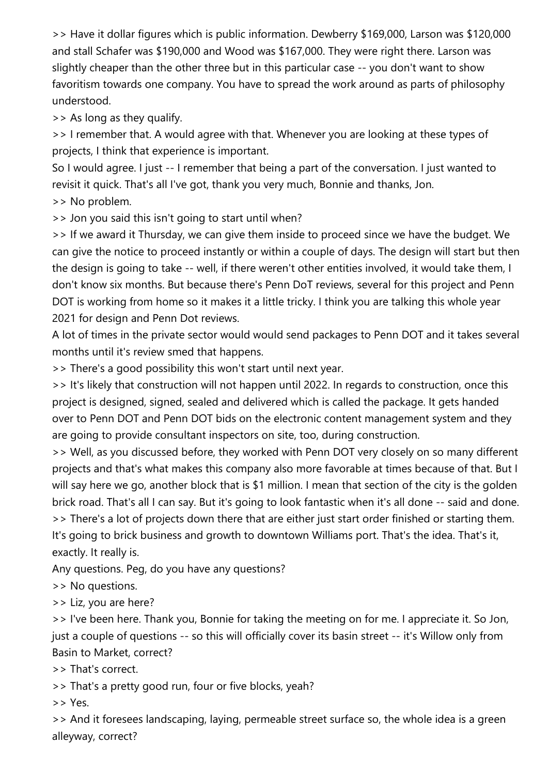>> Have it dollar figures which is public information. Dewberry \$169,000, Larson was \$120,000 and stall Schafer was \$190,000 and Wood was \$167,000. They were right there. Larson was slightly cheaper than the other three but in this particular case -- you don't want to show favoritism towards one company. You have to spread the work around as parts of philosophy understood.

>> As long as they qualify.

>> I remember that. A would agree with that. Whenever you are looking at these types of projects, I think that experience is important.

So I would agree. I just -- I remember that being a part of the conversation. I just wanted to revisit it quick. That's all I've got, thank you very much, Bonnie and thanks, Jon.

>> No problem.

>> Jon you said this isn't going to start until when?

>> If we award it Thursday, we can give them inside to proceed since we have the budget. We can give the notice to proceed instantly or within a couple of days. The design will start but then the design is going to take -- well, if there weren't other entities involved, it would take them, I don't know six months. But because there's Penn DoT reviews, several for this project and Penn DOT is working from home so it makes it a little tricky. I think you are talking this whole year 2021 for design and Penn Dot reviews.

A lot of times in the private sector would would send packages to Penn DOT and it takes several months until it's review smed that happens.

>> There's a good possibility this won't start until next year.

>> It's likely that construction will not happen until 2022. In regards to construction, once this project is designed, signed, sealed and delivered which is called the package. It gets handed over to Penn DOT and Penn DOT bids on the electronic content management system and they are going to provide consultant inspectors on site, too, during construction.

>> Well, as you discussed before, they worked with Penn DOT very closely on so many different projects and that's what makes this company also more favorable at times because of that. But I will say here we go, another block that is \$1 million. I mean that section of the city is the golden brick road. That's all I can say. But it's going to look fantastic when it's all done -- said and done. >> There's a lot of projects down there that are either just start order finished or starting them. It's going to brick business and growth to downtown Williams port. That's the idea. That's it, exactly. It really is.

Any questions. Peg, do you have any questions?

>> No questions.

>> Liz, you are here?

>> I've been here. Thank you, Bonnie for taking the meeting on for me. I appreciate it. So Jon, just a couple of questions -- so this will officially cover its basin street -- it's Willow only from Basin to Market, correct?

>> That's correct.

>> That's a pretty good run, four or five blocks, yeah?

>> Yes.

>> And it foresees landscaping, laying, permeable street surface so, the whole idea is a green alleyway, correct?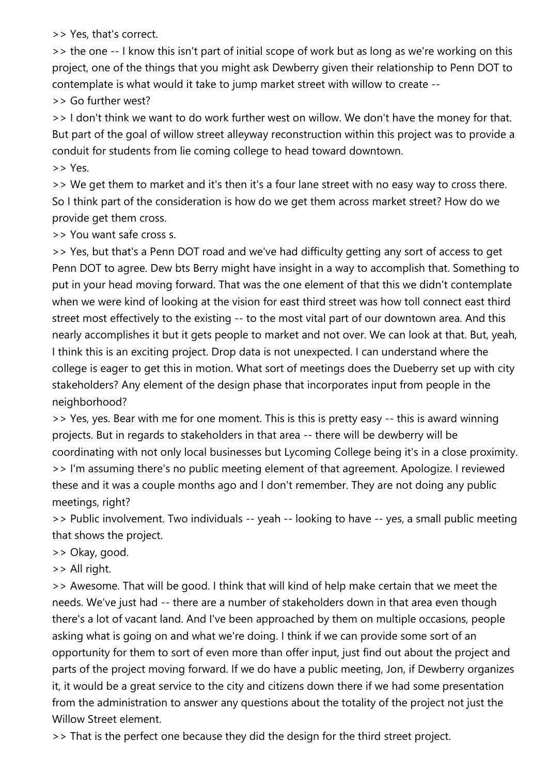>> Yes, that's correct.

>> the one -- I know this isn't part of initial scope of work but as long as we're working on this project, one of the things that you might ask Dewberry given their relationship to Penn DOT to contemplate is what would it take to jump market street with willow to create --

>> Go further west?

>> I don't think we want to do work further west on willow. We don't have the money for that. But part of the goal of willow street alleyway reconstruction within this project was to provide a conduit for students from lie coming college to head toward downtown.

>> Yes.

>> We get them to market and it's then it's a four lane street with no easy way to cross there. So I think part of the consideration is how do we get them across market street? How do we provide get them cross.

>> You want safe cross s.

>> Yes, but that's a Penn DOT road and we've had difficulty getting any sort of access to get Penn DOT to agree. Dew bts Berry might have insight in a way to accomplish that. Something to put in your head moving forward. That was the one element of that this we didn't contemplate when we were kind of looking at the vision for east third street was how toll connect east third street most effectively to the existing -- to the most vital part of our downtown area. And this nearly accomplishes it but it gets people to market and not over. We can look at that. But, yeah, I think this is an exciting project. Drop data is not unexpected. I can understand where the college is eager to get this in motion. What sort of meetings does the Dueberry set up with city stakeholders? Any element of the design phase that incorporates input from people in the neighborhood?

>> Yes, yes. Bear with me for one moment. This is this is pretty easy -- this is award winning projects. But in regards to stakeholders in that area -- there will be dewberry will be coordinating with not only local businesses but Lycoming College being it's in a close proximity. >> I'm assuming there's no public meeting element of that agreement. Apologize. I reviewed these and it was a couple months ago and I don't remember. They are not doing any public meetings, right?

>> Public involvement. Two individuals -- yeah -- looking to have -- yes, a small public meeting that shows the project.

>> Okay, good.

>> All right.

>> Awesome. That will be good. I think that will kind of help make certain that we meet the needs. We've just had -- there are a number of stakeholders down in that area even though there's a lot of vacant land. And I've been approached by them on multiple occasions, people asking what is going on and what we're doing. I think if we can provide some sort of an opportunity for them to sort of even more than offer input, just find out about the project and parts of the project moving forward. If we do have a public meeting, Jon, if Dewberry organizes it, it would be a great service to the city and citizens down there if we had some presentation from the administration to answer any questions about the totality of the project not just the Willow Street element.

>> That is the perfect one because they did the design for the third street project.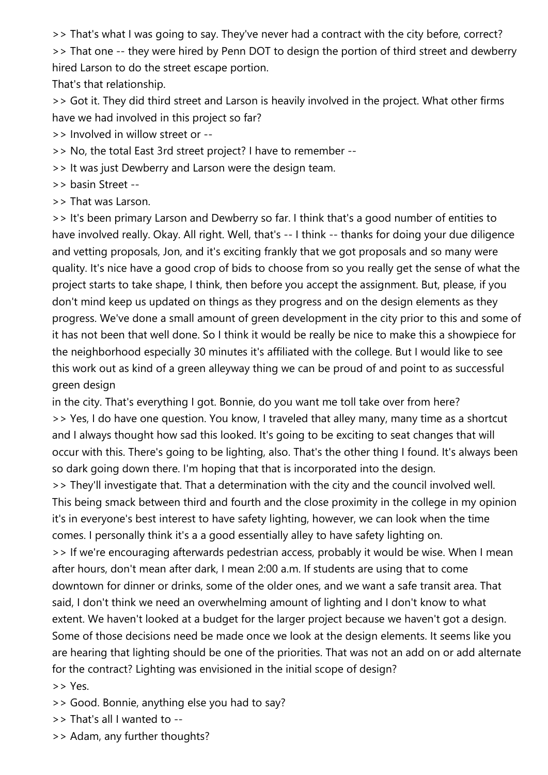>> That's what I was going to say. They've never had a contract with the city before, correct?

>> That one -- they were hired by Penn DOT to design the portion of third street and dewberry hired Larson to do the street escape portion.

That's that relationship.

>> Got it. They did third street and Larson is heavily involved in the project. What other firms have we had involved in this project so far?

>> Involved in willow street or --

>> No, the total East 3rd street project? I have to remember --

>> It was just Dewberry and Larson were the design team.

>> basin Street --

>> That was Larson.

>> It's been primary Larson and Dewberry so far. I think that's a good number of entities to have involved really. Okay. All right. Well, that's -- I think -- thanks for doing your due diligence and vetting proposals, Jon, and it's exciting frankly that we got proposals and so many were quality. It's nice have a good crop of bids to choose from so you really get the sense of what the project starts to take shape, I think, then before you accept the assignment. But, please, if you don't mind keep us updated on things as they progress and on the design elements as they progress. We've done a small amount of green development in the city prior to this and some of it has not been that well done. So I think it would be really be nice to make this a showpiece for the neighborhood especially 30 minutes it's affiliated with the college. But I would like to see this work out as kind of a green alleyway thing we can be proud of and point to as successful green design

in the city. That's everything I got. Bonnie, do you want me toll take over from here? >> Yes, I do have one question. You know, I traveled that alley many, many time as a shortcut and I always thought how sad this looked. It's going to be exciting to seat changes that will occur with this. There's going to be lighting, also. That's the other thing I found. It's always been so dark going down there. I'm hoping that that is incorporated into the design.

>> They'll investigate that. That a determination with the city and the council involved well. This being smack between third and fourth and the close proximity in the college in my opinion it's in everyone's best interest to have safety lighting, however, we can look when the time comes. I personally think it's a a good essentially alley to have safety lighting on.

>> If we're encouraging afterwards pedestrian access, probably it would be wise. When I mean after hours, don't mean after dark, I mean 2:00 a.m. If students are using that to come downtown for dinner or drinks, some of the older ones, and we want a safe transit area. That said, I don't think we need an overwhelming amount of lighting and I don't know to what extent. We haven't looked at a budget for the larger project because we haven't got a design. Some of those decisions need be made once we look at the design elements. It seems like you are hearing that lighting should be one of the priorities. That was not an add on or add alternate for the contract? Lighting was envisioned in the initial scope of design?

>> Yes.

>> Good. Bonnie, anything else you had to say?

>> That's all I wanted to --

>> Adam, any further thoughts?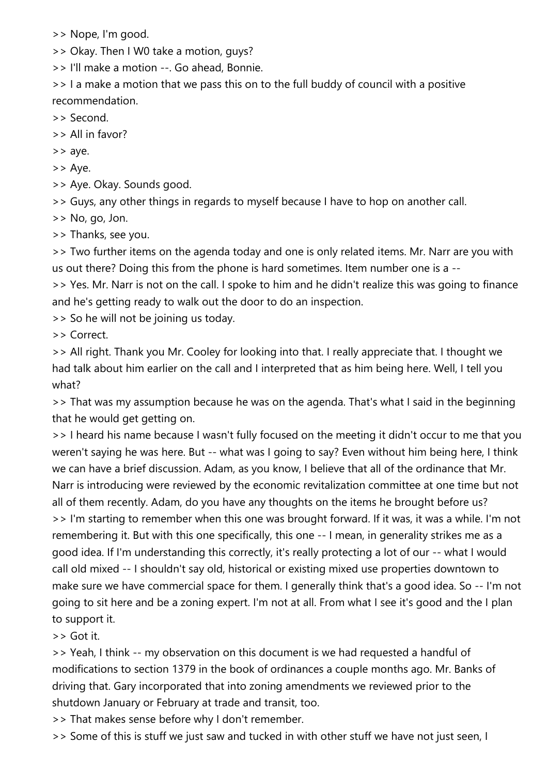>> Nope, I'm good.

>> Okay. Then I W0 take a motion, guys?

>> I'll make a motion --. Go ahead, Bonnie.

>> I a make a motion that we pass this on to the full buddy of council with a positive recommendation.

>> Second.

>> All in favor?

>> aye.

>> Aye.

>> Aye. Okay. Sounds good.

>> Guys, any other things in regards to myself because I have to hop on another call.

>> No, go, Jon.

>> Thanks, see you.

>> Two further items on the agenda today and one is only related items. Mr. Narr are you with us out there? Doing this from the phone is hard sometimes. Item number one is a --

>> Yes. Mr. Narr is not on the call. I spoke to him and he didn't realize this was going to finance and he's getting ready to walk out the door to do an inspection.

>> So he will not be joining us today.

>> Correct.

>> All right. Thank you Mr. Cooley for looking into that. I really appreciate that. I thought we had talk about him earlier on the call and I interpreted that as him being here. Well, I tell you what?

>> That was my assumption because he was on the agenda. That's what I said in the beginning that he would get getting on.

>> I heard his name because I wasn't fully focused on the meeting it didn't occur to me that you weren't saying he was here. But -- what was I going to say? Even without him being here, I think we can have a brief discussion. Adam, as you know, I believe that all of the ordinance that Mr. Narr is introducing were reviewed by the economic revitalization committee at one time but not all of them recently. Adam, do you have any thoughts on the items he brought before us? >> I'm starting to remember when this one was brought forward. If it was, it was a while. I'm not remembering it. But with this one specifically, this one -- I mean, in generality strikes me as a good idea. If I'm understanding this correctly, it's really protecting a lot of our -- what I would call old mixed -- I shouldn't say old, historical or existing mixed use properties downtown to make sure we have commercial space for them. I generally think that's a good idea. So -- I'm not going to sit here and be a zoning expert. I'm not at all. From what I see it's good and the I plan to support it.

>> Got it.

>> Yeah, I think -- my observation on this document is we had requested a handful of modifications to section 1379 in the book of ordinances a couple months ago. Mr. Banks of driving that. Gary incorporated that into zoning amendments we reviewed prior to the shutdown January or February at trade and transit, too.

>> That makes sense before why I don't remember.

>> Some of this is stuff we just saw and tucked in with other stuff we have not just seen, I